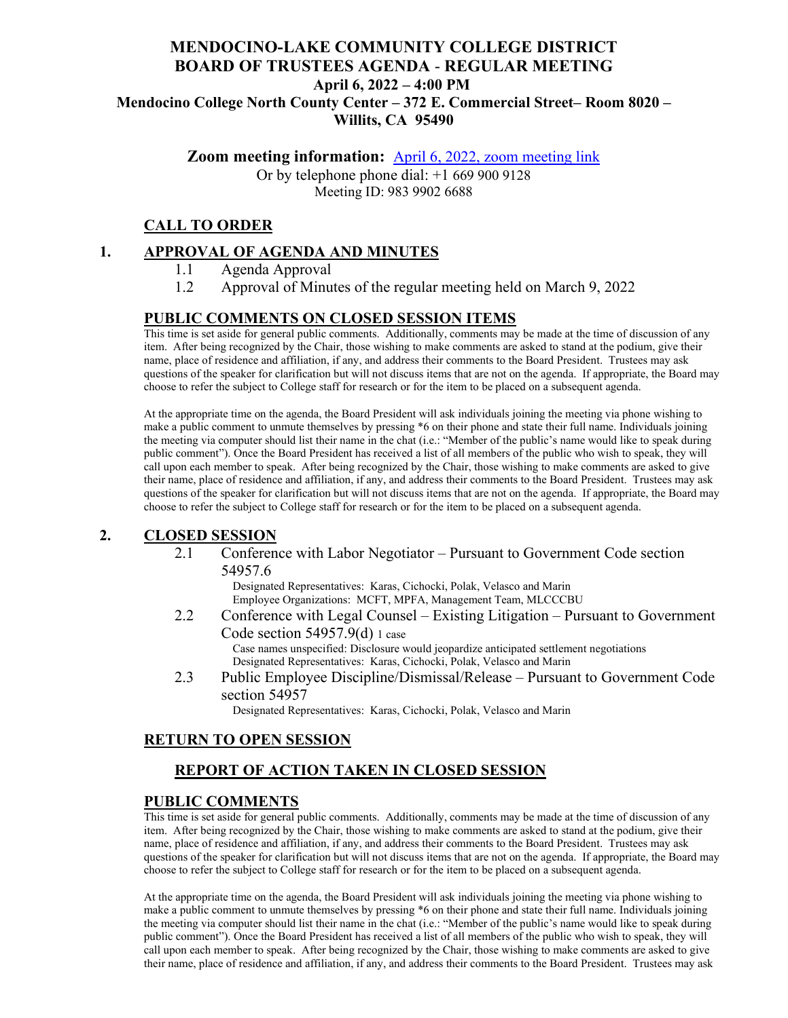# **MENDOCINO-LAKE COMMUNITY COLLEGE DISTRICT BOARD OF TRUSTEES AGENDA** - **REGULAR MEETING April 6, 2022 – 4:00 PM Mendocino College North County Center – 372 E. Commercial Street– Room 8020 –**

**Willits, CA 95490** 

**Zoom meeting information:** [April 6, 2022, zoom meeting link](https://mendocino-edu.zoom.us/j/98399026688) 

Or by telephone phone dial: +1 669 900 9128 Meeting ID: 983 9902 6688

#### **CALL TO ORDER**

#### **1. APPROVAL OF AGENDA AND MINUTES**

- 1.1 Agenda Approval
- 1.2 Approval of Minutes of the regular meeting held on March 9, 2022

### **PUBLIC COMMENTS ON CLOSED SESSION ITEMS**

This time is set aside for general public comments. Additionally, comments may be made at the time of discussion of any item. After being recognized by the Chair, those wishing to make comments are asked to stand at the podium, give their name, place of residence and affiliation, if any, and address their comments to the Board President. Trustees may ask questions of the speaker for clarification but will not discuss items that are not on the agenda. If appropriate, the Board may choose to refer the subject to College staff for research or for the item to be placed on a subsequent agenda.

At the appropriate time on the agenda, the Board President will ask individuals joining the meeting via phone wishing to make a public comment to unmute themselves by pressing \*6 on their phone and state their full name. Individuals joining the meeting via computer should list their name in the chat (i.e.: "Member of the public's name would like to speak during public comment"). Once the Board President has received a list of all members of the public who wish to speak, they will call upon each member to speak. After being recognized by the Chair, those wishing to make comments are asked to give their name, place of residence and affiliation, if any, and address their comments to the Board President. Trustees may ask questions of the speaker for clarification but will not discuss items that are not on the agenda. If appropriate, the Board may choose to refer the subject to College staff for research or for the item to be placed on a subsequent agenda.

#### **2. CLOSED SESSION**

2.1 Conference with Labor Negotiator – Pursuant to Government Code section 54957.6

> Designated Representatives: Karas, Cichocki, Polak, Velasco and Marin Employee Organizations: MCFT, MPFA, Management Team, MLCCCBU

2.2 Conference with Legal Counsel – Existing Litigation – Pursuant to Government Code section 54957.9(d) 1 case Case names unspecified: Disclosure would jeopardize anticipated settlement negotiations

Designated Representatives: Karas, Cichocki, Polak, Velasco and Marin

2.3 Public Employee Discipline/Dismissal/Release – Pursuant to Government Code section 54957

Designated Representatives: Karas, Cichocki, Polak, Velasco and Marin

## **RETURN TO OPEN SESSION**

# **REPORT OF ACTION TAKEN IN CLOSED SESSION**

#### **PUBLIC COMMENTS**

This time is set aside for general public comments. Additionally, comments may be made at the time of discussion of any item. After being recognized by the Chair, those wishing to make comments are asked to stand at the podium, give their name, place of residence and affiliation, if any, and address their comments to the Board President. Trustees may ask questions of the speaker for clarification but will not discuss items that are not on the agenda. If appropriate, the Board may choose to refer the subject to College staff for research or for the item to be placed on a subsequent agenda.

At the appropriate time on the agenda, the Board President will ask individuals joining the meeting via phone wishing to make a public comment to unmute themselves by pressing \*6 on their phone and state their full name. Individuals joining the meeting via computer should list their name in the chat (i.e.: "Member of the public's name would like to speak during public comment"). Once the Board President has received a list of all members of the public who wish to speak, they will call upon each member to speak. After being recognized by the Chair, those wishing to make comments are asked to give their name, place of residence and affiliation, if any, and address their comments to the Board President. Trustees may ask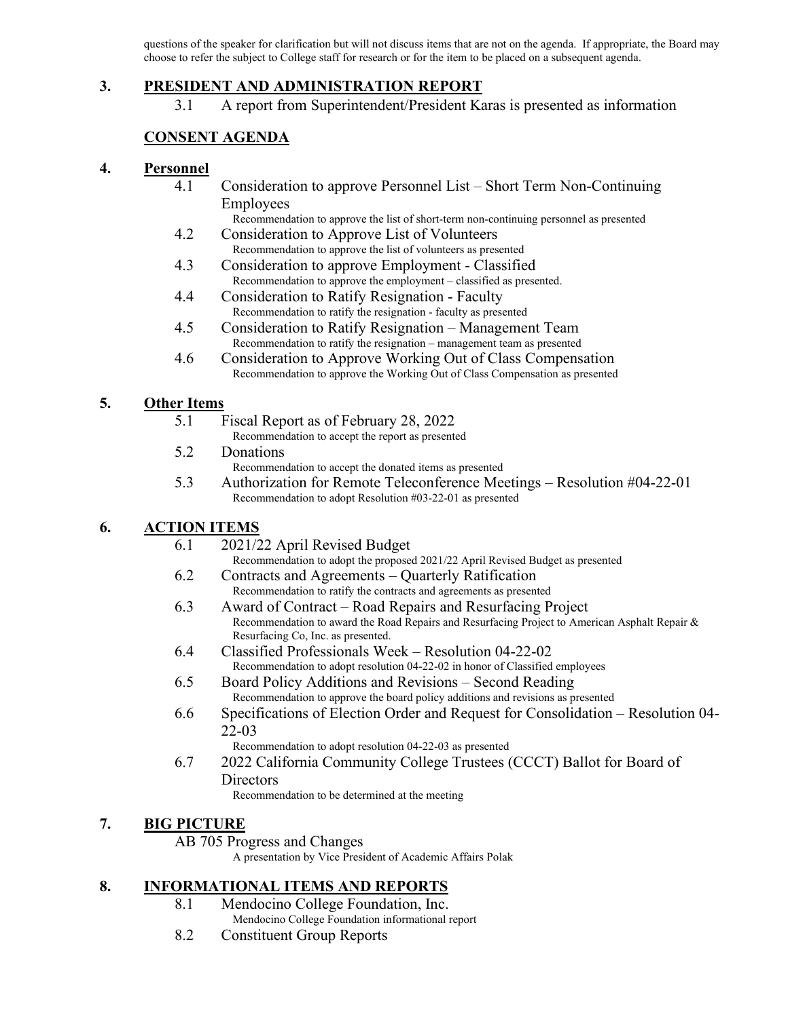questions of the speaker for clarification but will not discuss items that are not on the agenda. If appropriate, the Board may choose to refer the subject to College staff for research or for the item to be placed on a subsequent agenda.

# **3. PRESIDENT AND ADMINISTRATION REPORT**

3.1 A report from Superintendent/President Karas is presented as information

# **CONSENT AGENDA**

## **4. Personnel**

4.1 Consideration to approve Personnel List – Short Term Non-Continuing Employees

Recommendation to approve the list of short-term non-continuing personnel as presented

- 4.2 Consideration to Approve List of Volunteers Recommendation to approve the list of volunteers as presented
- 4.3 Consideration to approve Employment Classified Recommendation to approve the employment – classified as presented.
- 4.4 Consideration to Ratify Resignation Faculty Recommendation to ratify the resignation - faculty as presented
- 4.5 Consideration to Ratify Resignation Management Team Recommendation to ratify the resignation – management team as presented
- 4.6 Consideration to Approve Working Out of Class Compensation Recommendation to approve the Working Out of Class Compensation as presented

# **5. Other Items**

- 5.1 Fiscal Report as of February 28, 2022
	- Recommendation to accept the report as presented
- 5.2 Donations

Recommendation to accept the donated items as presented

5.3 Authorization for Remote Teleconference Meetings – Resolution #04-22-01 Recommendation to adopt Resolution #03-22-01 as presented

# **6. ACTION ITEMS**

6.1 2021/22 April Revised Budget

Recommendation to adopt the proposed 2021/22 April Revised Budget as presented

- 6.2 Contracts and Agreements Quarterly Ratification Recommendation to ratify the contracts and agreements as presented
- 6.3 Award of Contract Road Repairs and Resurfacing Project Recommendation to award the Road Repairs and Resurfacing Project to American Asphalt Repair & Resurfacing Co, Inc. as presented.
- 6.4 Classified Professionals Week Resolution 04-22-02 Recommendation to adopt resolution 04-22-02 in honor of Classified employees
- 6.5 Board Policy Additions and Revisions Second Reading Recommendation to approve the board policy additions and revisions as presented
- 6.6 Specifications of Election Order and Request for Consolidation Resolution 04- 22-03

Recommendation to adopt resolution 04-22-03 as presented

6.7 2022 California Community College Trustees (CCCT) Ballot for Board of Directors

# Recommendation to be determined at the meeting

## **7. BIG PICTURE**

AB 705 Progress and Changes

A presentation by Vice President of Academic Affairs Polak

## **8. INFORMATIONAL ITEMS AND REPORTS**

- 8.1 Mendocino College Foundation, Inc.
	- Mendocino College Foundation informational report
- 8.2 Constituent Group Reports